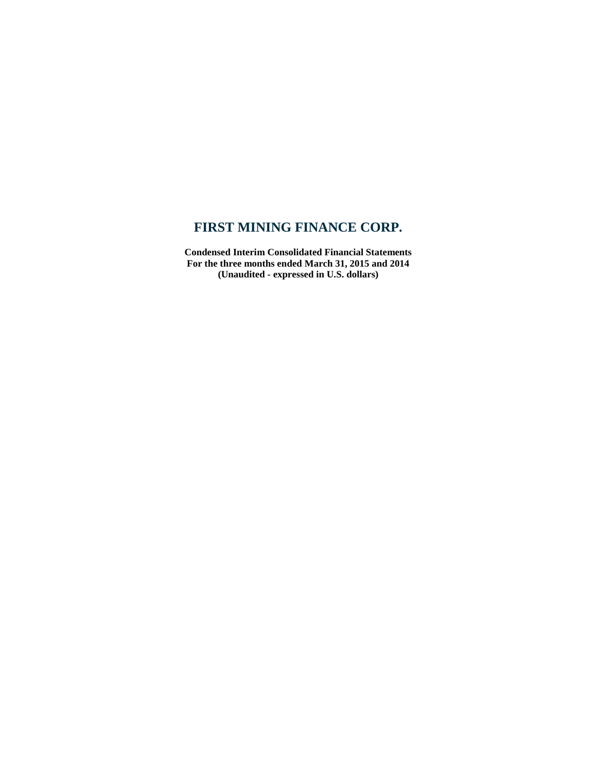**Condensed Interim Consolidated Financial Statements For the three months ended March 31, 2015 and 2014 (Unaudited - expressed in U.S. dollars)**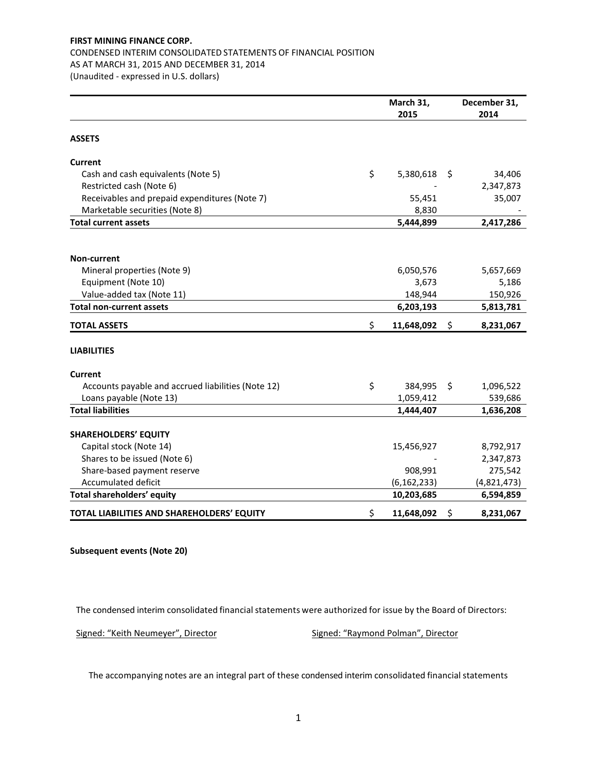# CONDENSED INTERIM CONSOLIDATED STATEMENTS OF FINANCIAL POSITION

AS AT MARCH 31, 2015 AND DECEMBER 31, 2014

(Unaudited - expressed in U.S. dollars)

|                                                    | March 31,        |     | December 31, |
|----------------------------------------------------|------------------|-----|--------------|
|                                                    | 2015             |     | 2014         |
| <b>ASSETS</b>                                      |                  |     |              |
| <b>Current</b>                                     |                  |     |              |
| Cash and cash equivalents (Note 5)                 | \$<br>5,380,618  | -\$ | 34,406       |
| Restricted cash (Note 6)                           |                  |     | 2,347,873    |
| Receivables and prepaid expenditures (Note 7)      | 55,451           |     | 35,007       |
| Marketable securities (Note 8)                     | 8,830            |     |              |
| <b>Total current assets</b>                        | 5,444,899        |     | 2,417,286    |
|                                                    |                  |     |              |
| Non-current                                        |                  |     |              |
| Mineral properties (Note 9)                        | 6,050,576        |     | 5,657,669    |
| Equipment (Note 10)                                | 3,673            |     | 5,186        |
| Value-added tax (Note 11)                          | 148,944          |     | 150,926      |
| <b>Total non-current assets</b>                    | 6,203,193        |     | 5,813,781    |
| <b>TOTAL ASSETS</b>                                | \$<br>11,648,092 | \$  | 8,231,067    |
| <b>LIABILITIES</b>                                 |                  |     |              |
| Current                                            |                  |     |              |
| Accounts payable and accrued liabilities (Note 12) | \$<br>384,995    | \$  | 1,096,522    |
| Loans payable (Note 13)                            | 1,059,412        |     | 539,686      |
| <b>Total liabilities</b>                           | 1,444,407        |     | 1,636,208    |
| <b>SHAREHOLDERS' EQUITY</b>                        |                  |     |              |
| Capital stock (Note 14)                            | 15,456,927       |     | 8,792,917    |
| Shares to be issued (Note 6)                       |                  |     | 2,347,873    |
| Share-based payment reserve                        | 908,991          |     | 275,542      |
| Accumulated deficit                                | (6, 162, 233)    |     | (4,821,473)  |
| Total shareholders' equity                         | 10,203,685       |     | 6,594,859    |
| TOTAL LIABILITIES AND SHAREHOLDERS' EQUITY         | \$<br>11,648,092 | \$  | 8,231,067    |

## **Subsequent events (Note 20)**

The condensed interim consolidated financial statements were authorized for issue by the Board of Directors:

Signed: "Keith Neumeyer", Director Signed: "Raymond Polman", Director

The accompanying notes are an integral part of these condensed interim consolidated financial statements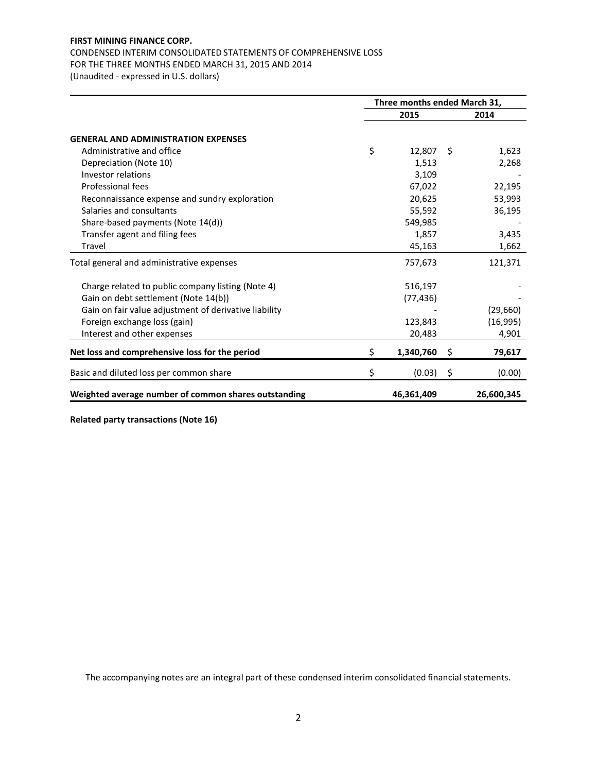# CONDENSED INTERIM CONSOLIDATED STATEMENTS OF COMPREHENSIVE LOSS

FOR THE THREE MONTHS ENDED MARCH 31, 2015 AND 2014

(Unaudited - expressed in U.S. dollars)

|                                                       | Three months ended March 31, |     |            |  |  |  |  |
|-------------------------------------------------------|------------------------------|-----|------------|--|--|--|--|
|                                                       | 2015                         |     | 2014       |  |  |  |  |
| <b>GENERAL AND ADMINISTRATION EXPENSES</b>            |                              |     |            |  |  |  |  |
| Administrative and office                             | \$<br>12,807                 | -\$ | 1,623      |  |  |  |  |
| Depreciation (Note 10)                                | 1,513                        |     | 2,268      |  |  |  |  |
| Investor relations                                    | 3,109                        |     |            |  |  |  |  |
| Professional fees                                     | 67,022                       |     | 22,195     |  |  |  |  |
| Reconnaissance expense and sundry exploration         | 20,625                       |     | 53,993     |  |  |  |  |
| Salaries and consultants                              | 55,592                       |     | 36,195     |  |  |  |  |
| Share-based payments (Note 14(d))                     | 549,985                      |     |            |  |  |  |  |
| Transfer agent and filing fees                        | 1,857                        |     | 3,435      |  |  |  |  |
| Travel                                                | 45,163                       |     | 1,662      |  |  |  |  |
| Total general and administrative expenses             | 757,673                      |     | 121,371    |  |  |  |  |
| Charge related to public company listing (Note 4)     | 516,197                      |     |            |  |  |  |  |
| Gain on debt settlement (Note 14(b))                  | (77, 436)                    |     |            |  |  |  |  |
| Gain on fair value adjustment of derivative liability |                              |     | (29,660)   |  |  |  |  |
| Foreign exchange loss (gain)                          | 123,843                      |     | (16,995)   |  |  |  |  |
| Interest and other expenses                           | 20,483                       |     | 4,901      |  |  |  |  |
| Net loss and comprehensive loss for the period        | \$<br>1,340,760              | \$  | 79,617     |  |  |  |  |
| Basic and diluted loss per common share               | \$<br>(0.03)                 | \$  | (0.00)     |  |  |  |  |
| Weighted average number of common shares outstanding  | 46,361,409                   |     | 26,600,345 |  |  |  |  |

**Related party transactions (Note 16)**

The accompanying notes are an integral part of these condensed interim consolidated financial statements.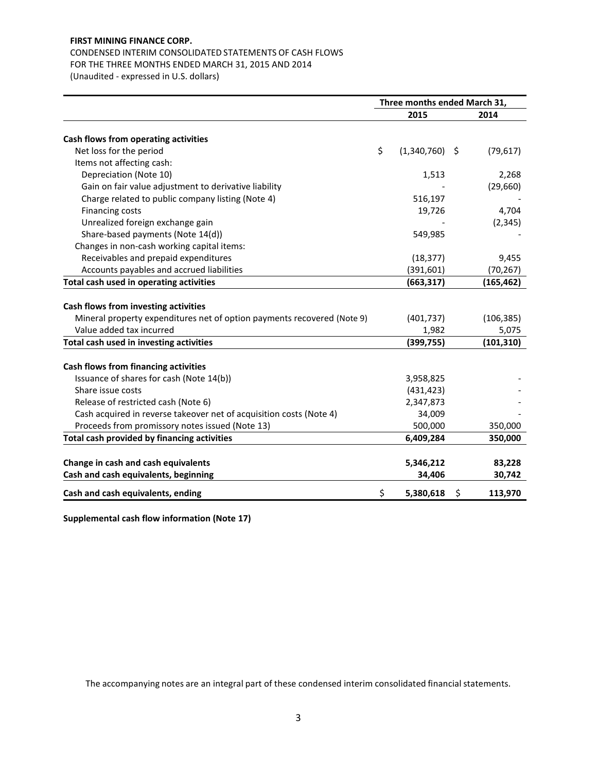# CONDENSED INTERIM CONSOLIDATED STATEMENTS OF CASH FLOWS FOR THE THREE MONTHS ENDED MARCH 31, 2015 AND 2014

(Unaudited - expressed in U.S. dollars)

|                                                                         | Three months ended March 31, |                  |    |            |  |  |
|-------------------------------------------------------------------------|------------------------------|------------------|----|------------|--|--|
|                                                                         |                              | 2015             |    | 2014       |  |  |
| Cash flows from operating activities                                    |                              |                  |    |            |  |  |
| Net loss for the period                                                 | \$                           | $(1,340,760)$ \$ |    | (79, 617)  |  |  |
| Items not affecting cash:                                               |                              |                  |    |            |  |  |
| Depreciation (Note 10)                                                  |                              | 1,513            |    | 2,268      |  |  |
| Gain on fair value adjustment to derivative liability                   |                              |                  |    | (29,660)   |  |  |
| Charge related to public company listing (Note 4)                       |                              | 516,197          |    |            |  |  |
| <b>Financing costs</b>                                                  |                              | 19,726           |    | 4,704      |  |  |
| Unrealized foreign exchange gain                                        |                              |                  |    | (2, 345)   |  |  |
| Share-based payments (Note 14(d))                                       |                              | 549,985          |    |            |  |  |
| Changes in non-cash working capital items:                              |                              |                  |    |            |  |  |
| Receivables and prepaid expenditures                                    |                              | (18, 377)        |    | 9,455      |  |  |
| Accounts payables and accrued liabilities                               |                              | (391, 601)       |    | (70, 267)  |  |  |
| Total cash used in operating activities                                 |                              | (663, 317)       |    | (165, 462) |  |  |
|                                                                         |                              |                  |    |            |  |  |
| Cash flows from investing activities                                    |                              |                  |    |            |  |  |
| Mineral property expenditures net of option payments recovered (Note 9) |                              | (401, 737)       |    | (106, 385) |  |  |
| Value added tax incurred                                                |                              | 1,982            |    | 5,075      |  |  |
| Total cash used in investing activities                                 |                              | (399, 755)       |    | (101, 310) |  |  |
| Cash flows from financing activities                                    |                              |                  |    |            |  |  |
| Issuance of shares for cash (Note 14(b))                                |                              | 3,958,825        |    |            |  |  |
| Share issue costs                                                       |                              | (431, 423)       |    |            |  |  |
| Release of restricted cash (Note 6)                                     |                              | 2,347,873        |    |            |  |  |
| Cash acquired in reverse takeover net of acquisition costs (Note 4)     |                              | 34,009           |    |            |  |  |
| Proceeds from promissory notes issued (Note 13)                         |                              | 500,000          |    | 350,000    |  |  |
| Total cash provided by financing activities                             |                              | 6,409,284        |    | 350,000    |  |  |
|                                                                         |                              |                  |    |            |  |  |
| Change in cash and cash equivalents                                     |                              | 5,346,212        |    | 83,228     |  |  |
| Cash and cash equivalents, beginning                                    |                              | 34,406           |    | 30,742     |  |  |
| Cash and cash equivalents, ending                                       | \$                           | 5,380,618        | \$ | 113,970    |  |  |

**Supplemental cash flow information (Note 17)**

The accompanying notes are an integral part of these condensed interim consolidated financial statements.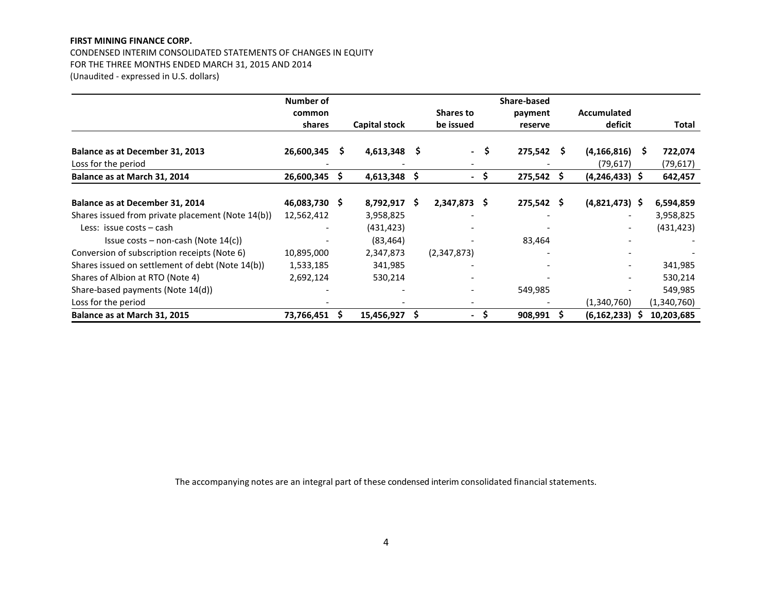CONDENSED INTERIM CONSOLIDATED STATEMENTS OF CHANGES IN EQUITY FOR THE THREE MONTHS ENDED MARCH 31, 2015 AND 2014 (Unaudited - expressed in U.S. dollars)

|                                                   | Number of     |   |                      |    |                  |      | Share-based  |   |                          |   |             |
|---------------------------------------------------|---------------|---|----------------------|----|------------------|------|--------------|---|--------------------------|---|-------------|
|                                                   | common        |   |                      |    | <b>Shares to</b> |      | payment      |   | <b>Accumulated</b>       |   |             |
|                                                   | shares        |   | <b>Capital stock</b> |    | be issued        |      | reserve      |   | deficit                  |   | Total       |
| Balance as at December 31, 2013                   | 26,600,345    | S | 4,613,348            | s  | $\sim$           | - \$ | 275,542      | S | (4, 166, 816)            | S | 722,074     |
| Loss for the period                               |               |   |                      |    |                  |      |              |   | (79, 617)                |   | (79, 617)   |
| Balance as at March 31, 2014                      | 26,600,345    |   | 4,613,348            | \$ |                  |      | 275,542      |   | $(4,246,433)$ \$         |   | 642,457     |
|                                                   |               |   |                      |    |                  |      |              |   |                          |   |             |
| Balance as at December 31, 2014                   | 46,083,730 \$ |   | $8,792,917$ \$       |    | 2,347,873        | -S   | $275,542$ \$ |   | $(4,821,473)$ \$         |   | 6,594,859   |
| Shares issued from private placement (Note 14(b)) | 12,562,412    |   | 3,958,825            |    |                  |      |              |   | $\overline{\phantom{0}}$ |   | 3,958,825   |
| Less: issue costs – cash                          |               |   | (431, 423)           |    |                  |      |              |   | $\overline{\phantom{a}}$ |   | (431, 423)  |
| Issue costs – non-cash (Note $14(c)$ )            |               |   | (83, 464)            |    |                  |      | 83,464       |   |                          |   |             |
| Conversion of subscription receipts (Note 6)      | 10,895,000    |   | 2,347,873            |    | (2,347,873)      |      |              |   |                          |   |             |
| Shares issued on settlement of debt (Note 14(b))  | 1,533,185     |   | 341,985              |    |                  |      |              |   | $\overline{\phantom{a}}$ |   | 341,985     |
| Shares of Albion at RTO (Note 4)                  | 2,692,124     |   | 530,214              |    |                  |      |              |   |                          |   | 530,214     |
| Share-based payments (Note 14(d))                 |               |   |                      |    |                  |      | 549,985      |   |                          |   | 549,985     |
| Loss for the period                               |               |   |                      |    |                  |      |              |   | (1,340,760)              |   | (1,340,760) |
| Balance as at March 31, 2015                      | 73,766,451    | S | 15,456,927           | S  | $\blacksquare$   | .S   | 908,991      |   | (6, 162, 233)            |   | 10,203,685  |

The accompanying notes are an integral part of these condensed interim consolidated financial statements.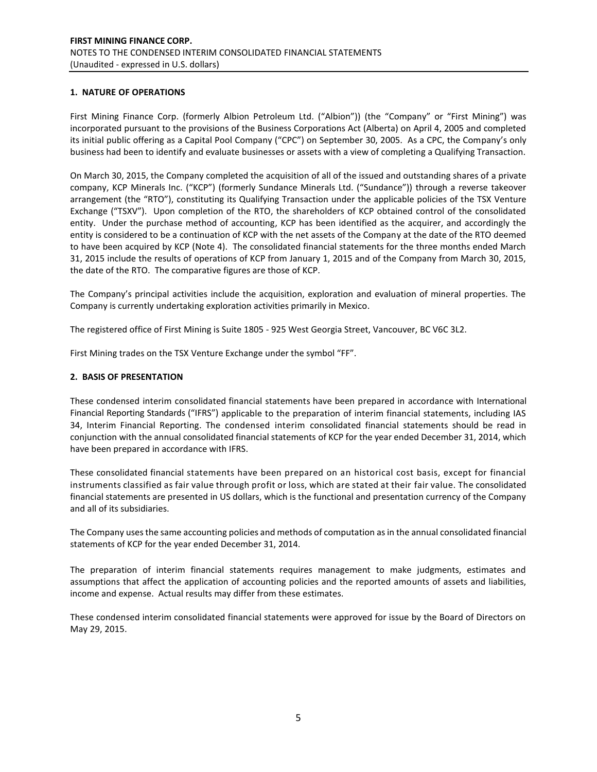## **1. NATURE OF OPERATIONS**

First Mining Finance Corp. (formerly Albion Petroleum Ltd. ("Albion")) (the "Company" or "First Mining") was incorporated pursuant to the provisions of the Business Corporations Act (Alberta) on April 4, 2005 and completed its initial public offering as a Capital Pool Company ("CPC") on September 30, 2005. As a CPC, the Company's only business had been to identify and evaluate businesses or assets with a view of completing a Qualifying Transaction.

On March 30, 2015, the Company completed the acquisition of all of the issued and outstanding shares of a private company, KCP Minerals Inc. ("KCP") (formerly Sundance Minerals Ltd. ("Sundance")) through a reverse takeover arrangement (the "RTO"), constituting its Qualifying Transaction under the applicable policies of the TSX Venture Exchange ("TSXV"). Upon completion of the RTO, the shareholders of KCP obtained control of the consolidated entity. Under the purchase method of accounting, KCP has been identified as the acquirer, and accordingly the entity is considered to be a continuation of KCP with the net assets of the Company at the date of the RTO deemed to have been acquired by KCP (Note 4). The consolidated financial statements for the three months ended March 31, 2015 include the results of operations of KCP from January 1, 2015 and of the Company from March 30, 2015, the date of the RTO. The comparative figures are those of KCP.

The Company's principal activities include the acquisition, exploration and evaluation of mineral properties. The Company is currently undertaking exploration activities primarily in Mexico.

The registered office of First Mining is Suite 1805 - 925 West Georgia Street, Vancouver, BC V6C 3L2.

First Mining trades on the TSX Venture Exchange under the symbol "FF".

## **2. BASIS OF PRESENTATION**

These condensed interim consolidated financial statements have been prepared in accordance with International Financial Reporting Standards ("IFRS") applicable to the preparation of interim financial statements, including IAS 34, Interim Financial Reporting. The condensed interim consolidated financial statements should be read in conjunction with the annual consolidated financial statements of KCP for the year ended December 31, 2014, which have been prepared in accordance with IFRS.

These consolidated financial statements have been prepared on an historical cost basis, except for financial instruments classified as fair value through profit or loss, which are stated at their fair value. The consolidated financial statements are presented in US dollars, which is the functional and presentation currency of the Company and all of its subsidiaries.

The Company uses the same accounting policies and methods of computation as in the annual consolidated financial statements of KCP for the year ended December 31, 2014.

The preparation of interim financial statements requires management to make judgments, estimates and assumptions that affect the application of accounting policies and the reported amounts of assets and liabilities, income and expense. Actual results may differ from these estimates.

These condensed interim consolidated financial statements were approved for issue by the Board of Directors on May 29, 2015.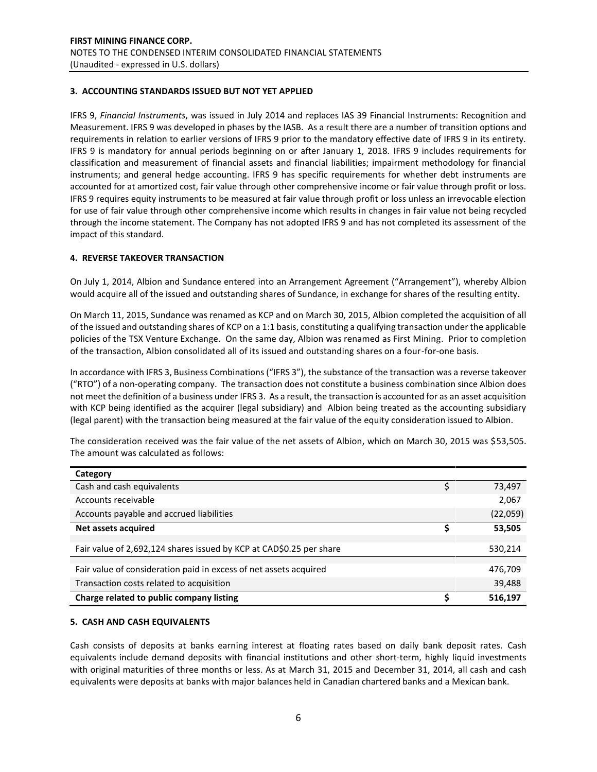## **3. ACCOUNTING STANDARDS ISSUED BUT NOT YET APPLIED**

IFRS 9, *Financial Instruments*, was issued in July 2014 and replaces IAS 39 Financial Instruments: Recognition and Measurement. IFRS 9 was developed in phases by the IASB. As a result there are a number of transition options and requirements in relation to earlier versions of IFRS 9 prior to the mandatory effective date of IFRS 9 in its entirety. IFRS 9 is mandatory for annual periods beginning on or after January 1, 2018. IFRS 9 includes requirements for classification and measurement of financial assets and financial liabilities; impairment methodology for financial instruments; and general hedge accounting. IFRS 9 has specific requirements for whether debt instruments are accounted for at amortized cost, fair value through other comprehensive income or fair value through profit or loss. IFRS 9 requires equity instruments to be measured at fair value through profit or loss unless an irrevocable election for use of fair value through other comprehensive income which results in changes in fair value not being recycled through the income statement. The Company has not adopted IFRS 9 and has not completed its assessment of the impact of this standard.

## **4. REVERSE TAKEOVER TRANSACTION**

On July 1, 2014, Albion and Sundance entered into an Arrangement Agreement ("Arrangement"), whereby Albion would acquire all of the issued and outstanding shares of Sundance, in exchange for shares of the resulting entity.

On March 11, 2015, Sundance was renamed as KCP and on March 30, 2015, Albion completed the acquisition of all of the issued and outstanding shares of KCP on a 1:1 basis, constituting a qualifying transaction under the applicable policies of the TSX Venture Exchange. On the same day, Albion was renamed as First Mining. Prior to completion of the transaction, Albion consolidated all of its issued and outstanding shares on a four-for-one basis.

In accordance with IFRS 3, Business Combinations ("IFRS 3"), the substance of the transaction was a reverse takeover ("RTO") of a non-operating company. The transaction does not constitute a business combination since Albion does not meet the definition of a business under IFRS 3. As a result, the transaction is accounted for as an asset acquisition with KCP being identified as the acquirer (legal subsidiary) and Albion being treated as the accounting subsidiary (legal parent) with the transaction being measured at the fair value of the equity consideration issued to Albion.

| Category                                                            |          |
|---------------------------------------------------------------------|----------|
| Cash and cash equivalents                                           | 73,497   |
| Accounts receivable                                                 | 2,067    |
| Accounts payable and accrued liabilities                            | (22,059) |
| Net assets acquired                                                 | 53,505   |
|                                                                     |          |
| Fair value of 2,692,124 shares issued by KCP at CAD\$0.25 per share | 530,214  |
|                                                                     |          |
| Fair value of consideration paid in excess of net assets acquired   | 476,709  |
| Transaction costs related to acquisition                            | 39,488   |
| Charge related to public company listing                            | 516,197  |

The consideration received was the fair value of the net assets of Albion, which on March 30, 2015 was \$53,505. The amount was calculated as follows:

#### **5. CASH AND CASH EQUIVALENTS**

Cash consists of deposits at banks earning interest at floating rates based on daily bank deposit rates. Cash equivalents include demand deposits with financial institutions and other short-term, highly liquid investments with original maturities of three months or less. As at March 31, 2015 and December 31, 2014, all cash and cash equivalents were deposits at banks with major balances held in Canadian chartered banks and a Mexican bank.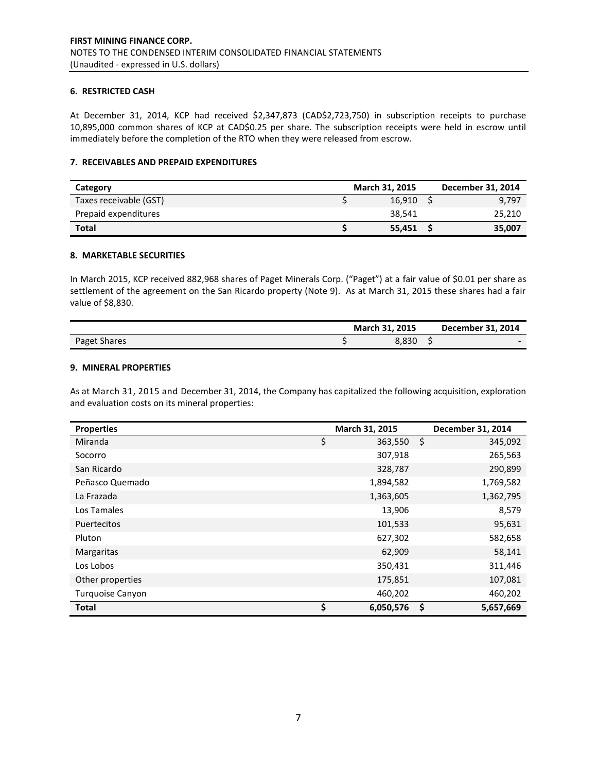#### **6. RESTRICTED CASH**

At December 31, 2014, KCP had received \$2,347,873 (CAD\$2,723,750) in subscription receipts to purchase 10,895,000 common shares of KCP at CAD\$0.25 per share. The subscription receipts were held in escrow until immediately before the completion of the RTO when they were released from escrow.

## **7. RECEIVABLES AND PREPAID EXPENDITURES**

| Category               | <b>March 31, 2015</b> | December 31, 2014 |
|------------------------|-----------------------|-------------------|
| Taxes receivable (GST) | 16.910                | 9,797             |
| Prepaid expenditures   | 38.541                | 25,210            |
| <b>Total</b>           | 55.451                | 35,007            |

#### **8. MARKETABLE SECURITIES**

In March 2015, KCP received 882,968 shares of Paget Minerals Corp. ("Paget") at a fair value of \$0.01 per share as settlement of the agreement on the San Ricardo property (Note 9). As at March 31, 2015 these shares had a fair value of \$8,830.

|              | March 31, 2015 | December 31, 2014        |
|--------------|----------------|--------------------------|
| Paget Shares | 3.830          | $\overline{\phantom{0}}$ |

#### **9. MINERAL PROPERTIES**

As at March 31, 2015 and December 31, 2014, the Company has capitalized the following acquisition, exploration and evaluation costs on its mineral properties:

| <b>Properties</b>  | March 31, 2015  | December 31, 2014 |
|--------------------|-----------------|-------------------|
| Miranda            | \$<br>363,550   | \$<br>345,092     |
| Socorro            | 307,918         | 265,563           |
| San Ricardo        | 328,787         | 290,899           |
| Peñasco Quemado    | 1,894,582       | 1,769,582         |
| La Frazada         | 1,363,605       | 1,362,795         |
| Los Tamales        | 13,906          | 8,579             |
| <b>Puertecitos</b> | 101,533         | 95,631            |
| Pluton             | 627,302         | 582,658           |
| Margaritas         | 62,909          | 58,141            |
| Los Lobos          | 350,431         | 311,446           |
| Other properties   | 175,851         | 107,081           |
| Turquoise Canyon   | 460,202         | 460,202           |
| <b>Total</b>       | \$<br>6,050,576 | \$<br>5,657,669   |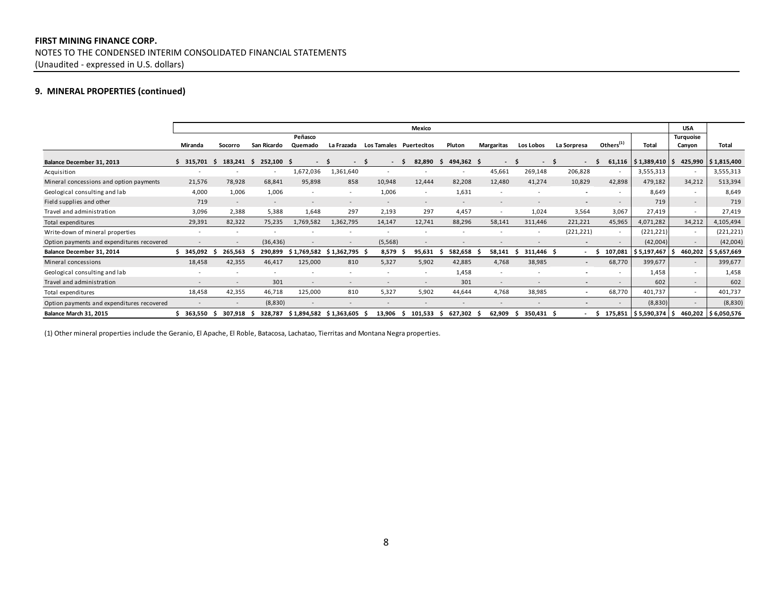# **FIRST MINING FINANCE CORP.** NOTES TO THE CONDENSED INTERIM CONSOLIDATED FINANCIAL STATEMENTS (Unaudited - expressed in U.S. dollars)

# **9. MINERAL PROPERTIES (continued)**

|                                            |         |                |               |             |                 |                         | Mexico        |                  |            |              |                          |                          |                       | <b>USA</b>               |                       |
|--------------------------------------------|---------|----------------|---------------|-------------|-----------------|-------------------------|---------------|------------------|------------|--------------|--------------------------|--------------------------|-----------------------|--------------------------|-----------------------|
|                                            |         |                |               | Peñasco     |                 |                         |               |                  |            |              |                          |                          |                       | Turquoise                |                       |
|                                            | Miranda | Socorro        | San Ricardo   | Quemado     | La Frazada      | Los Tamales Puertecitos |               | Pluton           | Margaritas | Los Lobos    | La Sorpresa              | Others $(1)$             | Total                 | Canyon                   | Total                 |
| Balance December 31, 2013                  | 315,701 | 183.241<br>- 5 | 252,100<br>-S | -S          | $\sim$          | -S<br>$\sim$            | 82,890        | 494,362 \$<br>-S | $\sim$     | $\sim$       | $\sim$<br>-5             | 61,116                   | $$1,389,410$ $$$      |                          | 425,990   \$1,815,400 |
| Acquisition                                |         |                |               | 1,672,036   | 1,361,640       |                         |               |                  | 45,661     | 269,148      | 206,828                  | $\sim$                   | 3,555,313             | $\sim$                   | 3,555,313             |
| Mineral concessions and option payments    | 21,576  | 78,928         | 68,841        | 95,898      | 858             | 10,948                  | 12,444        | 82,208           | 12,480     | 41,274       | 10,829                   | 42,898                   | 479,182               | 34,212                   | 513,394               |
| Geological consulting and lab              | 4,000   | 1,006          | 1,006         |             | $\sim$          | 1,006                   |               | 1,631            |            |              | $\blacksquare$           | $\sim$                   | 8,649                 | $\overline{\phantom{a}}$ | 8,649                 |
| Field supplies and other                   | 719     |                |               |             |                 |                         |               |                  |            |              | $\overline{a}$           | $\overline{\phantom{a}}$ | 719                   | $\overline{\phantom{a}}$ | 719                   |
| Travel and administration                  | 3,096   | 2,388          | 5,388         | 1,648       | 297             | 2,193                   | 297           | 4,457            |            | 1.024        | 3,564                    | 3,067                    | 27,419                |                          | 27,419                |
| Total expenditures                         | 29,391  | 82,322         | 75,235        | 1,769,582   | 1,362,795       | 14,147                  | 12,741        | 88,296           | 58,141     | 311,446      | 221,221                  | 45,965                   | 4,071,282             | 34,212                   | 4,105,494             |
| Write-down of mineral properties           |         |                |               |             |                 |                         |               |                  |            |              | (221, 221)               | $\overline{\phantom{a}}$ | (221, 221)            |                          | (221, 221)            |
| Option payments and expenditures recovered |         |                | (36, 436)     |             |                 | (5, 568)                |               |                  |            |              | $\overline{\phantom{a}}$ | $\overline{\phantom{a}}$ | (42,004)              | $\sim$                   | (42,004)              |
| Balance December 31, 2014                  | 345,092 | 265,563        | 290,899       | \$1,769,582 | $$1,362,795$ \$ | 8,579                   | 95,631        | 582,658          | 58,141     | 311,446 \$   | $\overline{a}$           | 107,081                  | \$5,197,467           | 460,202                  | \$ 5,657,669          |
| Mineral concessions                        | 18,458  | 42,355         | 46,417        | 125,000     | 810             | 5,327                   | 5,902         | 42,885           | 4,768      | 38,985       | $\sim$                   | 68,770                   | 399,677               | $\overline{\phantom{a}}$ | 399,677               |
| Geological consulting and lab              |         |                |               |             |                 |                         |               | 1,458            |            |              |                          | $\overline{\phantom{a}}$ | 1,458                 | $\sim$                   | 1,458                 |
| Travel and administration                  |         |                | 301           |             |                 |                         |               | 301              |            |              | $\overline{\phantom{a}}$ | $\overline{\phantom{a}}$ | 602                   | $\sim$                   | 602                   |
| Total expenditures                         | 18,458  | 42,355         | 46,718        | 125,000     | 810             | 5,327                   | 5,902         | 44,644           | 4,768      | 38,985       | $\sim$                   | 68,770                   | 401,737               | $\overline{\phantom{a}}$ | 401,737               |
| Option payments and expenditures recovered |         |                | (8,830)       |             |                 |                         |               |                  |            |              |                          | $\sim$                   | (8,830)               | $\sim$                   | (8,830)               |
| Balance March 31, 2015                     | 363,550 | 307,918        | 328,787       | \$1,894,582 | \$ 1,363,605    | 13,906<br>- 5           | 101,533<br>-S | 627,302<br>s     | 62,909     | 350,431<br>S | - 5                      |                          | 175,851   \$5,590,374 |                          | 460,202 \$6,050,576   |

(1) Other mineral properties include the Geranio, El Apache, El Roble, Batacosa, Lachatao, Tierritas and Montana Negra properties.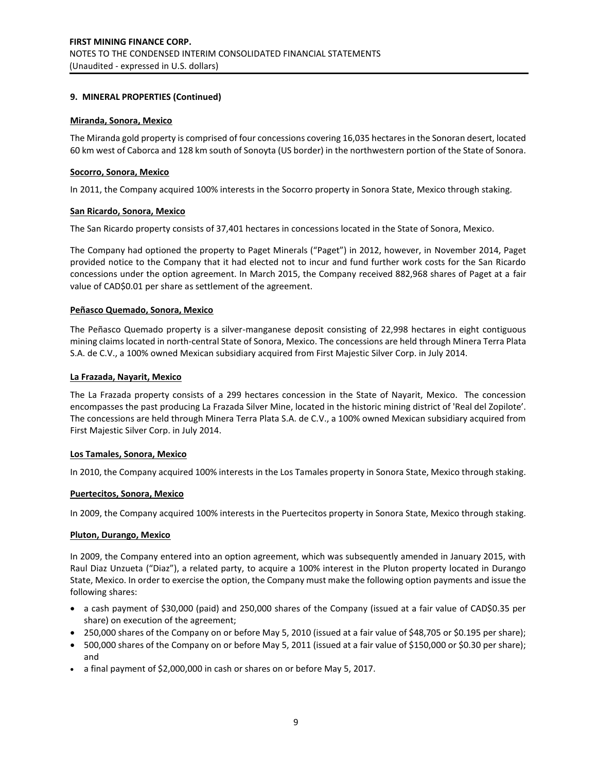## **9. MINERAL PROPERTIES (Continued)**

#### **Miranda, Sonora, Mexico**

The Miranda gold property is comprised of four concessions covering 16,035 hectares in the Sonoran desert, located 60 km west of Caborca and 128 km south of Sonoyta (US border) in the northwestern portion of the State of Sonora.

#### **Socorro, Sonora, Mexico**

In 2011, the Company acquired 100% interests in the Socorro property in Sonora State, Mexico through staking.

#### **San Ricardo, Sonora, Mexico**

The San Ricardo property consists of 37,401 hectares in concessions located in the State of Sonora, Mexico.

The Company had optioned the property to Paget Minerals ("Paget") in 2012, however, in November 2014, Paget provided notice to the Company that it had elected not to incur and fund further work costs for the San Ricardo concessions under the option agreement. In March 2015, the Company received 882,968 shares of Paget at a fair value of CAD\$0.01 per share as settlement of the agreement.

#### **Peñasco Quemado, Sonora, Mexico**

The Peñasco Quemado property is a silver-manganese deposit consisting of 22,998 hectares in eight contiguous mining claims located in north-central State of Sonora, Mexico. The concessions are held through Minera Terra Plata S.A. de C.V., a 100% owned Mexican subsidiary acquired from First Majestic Silver Corp. in July 2014.

#### **La Frazada, Nayarit, Mexico**

The La Frazada property consists of a 299 hectares concession in the State of Nayarit, Mexico. The concession encompasses the past producing La Frazada Silver Mine, located in the historic mining district of 'Real del Zopilote'. The concessions are held through Minera Terra Plata S.A. de C.V., a 100% owned Mexican subsidiary acquired from First Majestic Silver Corp. in July 2014.

#### **Los Tamales, Sonora, Mexico**

In 2010, the Company acquired 100% interests in the Los Tamales property in Sonora State, Mexico through staking.

#### **Puertecitos, Sonora, Mexico**

In 2009, the Company acquired 100% interests in the Puertecitos property in Sonora State, Mexico through staking.

#### **Pluton, Durango, Mexico**

In 2009, the Company entered into an option agreement, which was subsequently amended in January 2015, with Raul Diaz Unzueta ("Diaz"), a related party, to acquire a 100% interest in the Pluton property located in Durango State, Mexico. In order to exercise the option, the Company must make the following option payments and issue the following shares:

- a cash payment of \$30,000 (paid) and 250,000 shares of the Company (issued at a fair value of CAD\$0.35 per share) on execution of the agreement;
- 250,000 shares of the Company on or before May 5, 2010 (issued at a fair value of \$48,705 or \$0.195 per share);
- 500,000 shares of the Company on or before May 5, 2011 (issued at a fair value of \$150,000 or \$0.30 per share); and
- a final payment of \$2,000,000 in cash or shares on or before May 5, 2017.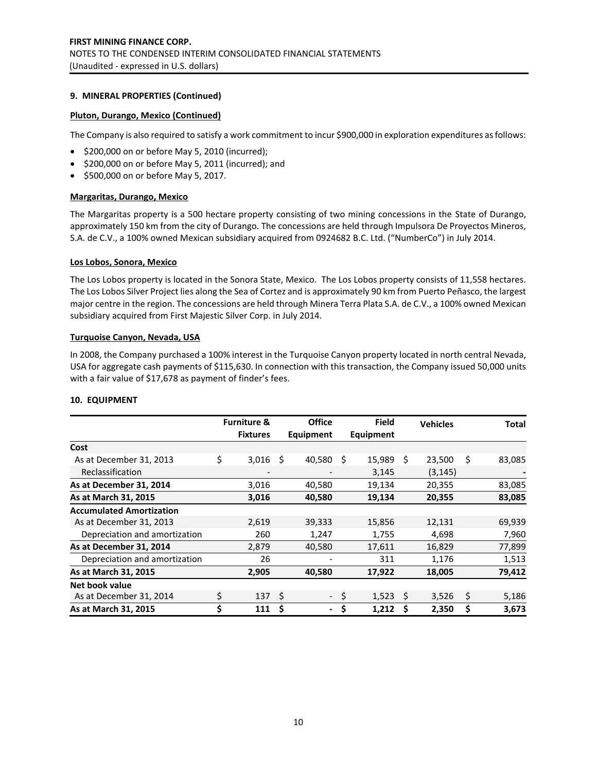## **9. MINERAL PROPERTIES (Continued)**

## **Pluton, Durango, Mexico (Continued)**

The Company is also required to satisfy a work commitment to incur \$900,000 in exploration expenditures as follows:

- $\bullet$  \$200,000 on or before May 5, 2010 (incurred);
- $\bullet$  \$200,000 on or before May 5, 2011 (incurred); and
- \$500,000 on or before May 5, 2017.

## **Margaritas, Durango, Mexico**

The Margaritas property is a 500 hectare property consisting of two mining concessions in the State of Durango, approximately 150 km from the city of Durango. The concessions are held through Impulsora De Proyectos Mineros, S.A. de C.V., a 100% owned Mexican subsidiary acquired from 0924682 B.C. Ltd. ("NumberCo") in July 2014.

#### **Los Lobos, Sonora, Mexico**

The Los Lobos property is located in the Sonora State, Mexico. The Los Lobos property consists of 11,558 hectares. The Los Lobos Silver Project lies along the Sea of Cortez and is approximately 90 km from Puerto Peñasco, the largest major centre in the region. The concessions are held through Minera Terra Plata S.A. de C.V., a 100% owned Mexican subsidiary acquired from First Majestic Silver Corp. in July 2014.

#### **Turquoise Canyon, Nevada, USA**

In 2008, the Company purchased a 100% interest in the Turquoise Canyon property located in north central Nevada, USA for aggregate cash payments of \$115,630. In connection with this transaction, the Company issued 50,000 units with a fair value of \$17,678 as payment of finder's fees.

#### **10. EQUIPMENT**

|                                 | <b>Furniture &amp;</b> |    | <b>Office</b>  |      | <b>Field</b> |     | <b>Vehicles</b> |    | <b>Total</b> |
|---------------------------------|------------------------|----|----------------|------|--------------|-----|-----------------|----|--------------|
|                                 | <b>Fixtures</b>        |    | Equipment      |      | Equipment    |     |                 |    |              |
| Cost                            |                        |    |                |      |              |     |                 |    |              |
| As at December 31, 2013         | \$<br>3,016            | S  | 40,580         | Ś    | 15,989       | Ś.  | 23,500          | Ś  | 83,085       |
| Reclassification                | $\qquad \qquad$        |    |                |      | 3,145        |     | (3, 145)        |    |              |
| As at December 31, 2014         | 3,016                  |    | 40,580         |      | 19,134       |     | 20,355          |    | 83,085       |
| As at March 31, 2015            | 3,016                  |    | 40,580         |      | 19,134       |     | 20,355          |    | 83,085       |
| <b>Accumulated Amortization</b> |                        |    |                |      |              |     |                 |    |              |
| As at December 31, 2013         | 2,619                  |    | 39,333         |      | 15,856       |     | 12,131          |    | 69,939       |
| Depreciation and amortization   | 260                    |    | 1,247          |      | 1,755        |     | 4,698           |    | 7,960        |
| As at December 31, 2014         | 2,879                  |    | 40,580         |      | 17,611       |     | 16,829          |    | 77,899       |
| Depreciation and amortization   | 26                     |    |                |      | 311          |     | 1,176           |    | 1,513        |
| As at March 31, 2015            | 2,905                  |    | 40,580         |      | 17,922       |     | 18,005          |    | 79,412       |
| Net book value                  |                        |    |                |      |              |     |                 |    |              |
| As at December 31, 2014         | \$<br>137              | Ŝ. |                | - \$ | 1,523        | - S | 3,526           | \$ | 5,186        |
| As at March 31, 2015            | \$<br>111              | Ś  | $\blacksquare$ | \$   | 1,212        |     | 2,350           | \$ | 3,673        |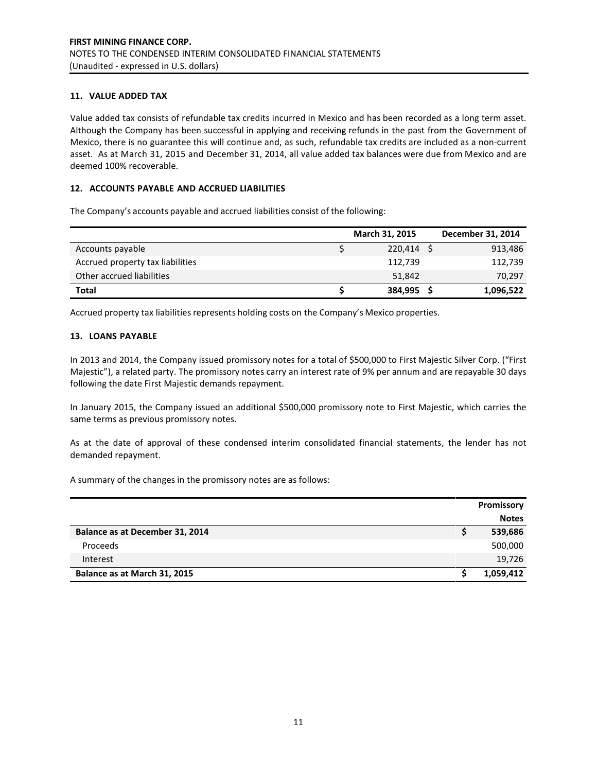## **11. VALUE ADDED TAX**

Value added tax consists of refundable tax credits incurred in Mexico and has been recorded as a long term asset. Although the Company has been successful in applying and receiving refunds in the past from the Government of Mexico, there is no guarantee this will continue and, as such, refundable tax credits are included as a non-current asset. As at March 31, 2015 and December 31, 2014, all value added tax balances were due from Mexico and are deemed 100% recoverable.

## **12. ACCOUNTS PAYABLE AND ACCRUED LIABILITIES**

The Company's accounts payable and accrued liabilities consist of the following:

|                                  | <b>March 31, 2015</b> | December 31, 2014 |
|----------------------------------|-----------------------|-------------------|
| Accounts payable                 | 220.414 S             | 913,486           |
| Accrued property tax liabilities | 112,739               | 112,739           |
| Other accrued liabilities        | 51,842                | 70,297            |
| <b>Total</b>                     | 384,995               | 1,096,522         |

Accrued property tax liabilities represents holding costs on the Company's Mexico properties.

## **13. LOANS PAYABLE**

In 2013 and 2014, the Company issued promissory notes for a total of \$500,000 to First Majestic Silver Corp. ("First Majestic"), a related party. The promissory notes carry an interest rate of 9% per annum and are repayable 30 days following the date First Majestic demands repayment.

In January 2015, the Company issued an additional \$500,000 promissory note to First Majestic, which carries the same terms as previous promissory notes.

As at the date of approval of these condensed interim consolidated financial statements, the lender has not demanded repayment.

A summary of the changes in the promissory notes are as follows:

|                                 | Promissory   |
|---------------------------------|--------------|
|                                 | <b>Notes</b> |
| Balance as at December 31, 2014 | 539,686      |
| Proceeds                        | 500,000      |
| Interest                        | 19,726       |
| Balance as at March 31, 2015    | 1,059,412    |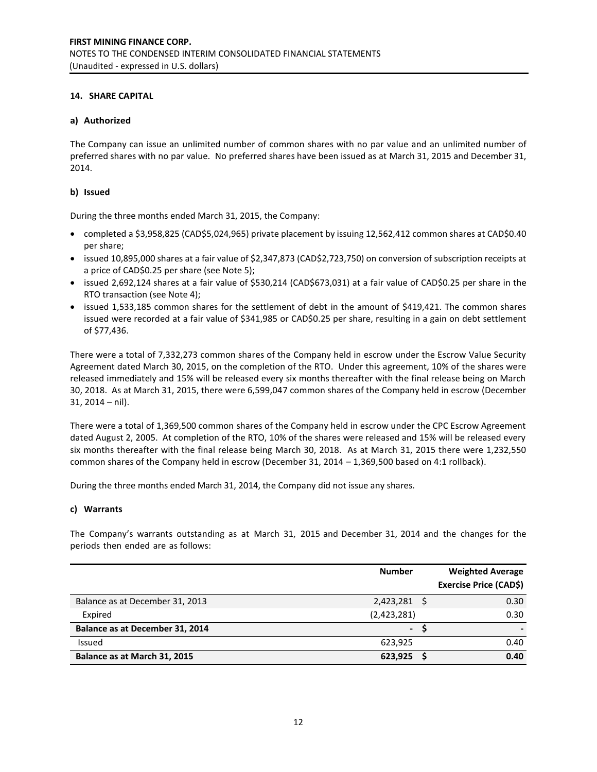## **14. SHARE CAPITAL**

## **a) Authorized**

The Company can issue an unlimited number of common shares with no par value and an unlimited number of preferred shares with no par value. No preferred shares have been issued as at March 31, 2015 and December 31, 2014.

## **b) Issued**

During the three months ended March 31, 2015, the Company:

- completed a \$3,958,825 (CAD\$5,024,965) private placement by issuing 12,562,412 common shares at CAD\$0.40 per share;
- issued 10,895,000 shares at a fair value of \$2,347,873 (CAD\$2,723,750) on conversion of subscription receipts at a price of CAD\$0.25 per share (see Note 5);
- issued 2,692,124 shares at a fair value of \$530,214 (CAD\$673,031) at a fair value of CAD\$0.25 per share in the RTO transaction (see Note 4);
- issued 1,533,185 common shares for the settlement of debt in the amount of \$419,421. The common shares issued were recorded at a fair value of \$341,985 or CAD\$0.25 per share, resulting in a gain on debt settlement of \$77,436.

There were a total of 7,332,273 common shares of the Company held in escrow under the Escrow Value Security Agreement dated March 30, 2015, on the completion of the RTO. Under this agreement, 10% of the shares were released immediately and 15% will be released every six months thereafter with the final release being on March 30, 2018. As at March 31, 2015, there were 6,599,047 common shares of the Company held in escrow (December 31, 2014 – nil).

There were a total of 1,369,500 common shares of the Company held in escrow under the CPC Escrow Agreement dated August 2, 2005. At completion of the RTO, 10% of the shares were released and 15% will be released every six months thereafter with the final release being March 30, 2018. As at March 31, 2015 there were 1,232,550 common shares of the Company held in escrow (December 31, 2014 – 1,369,500 based on 4:1 rollback).

During the three months ended March 31, 2014, the Company did not issue any shares.

## **c) Warrants**

The Company's warrants outstanding as at March 31, 2015 and December 31, 2014 and the changes for the periods then ended are as follows:

|                                 | <b>Number</b> | <b>Weighted Average</b>       |
|---------------------------------|---------------|-------------------------------|
|                                 |               | <b>Exercise Price (CAD\$)</b> |
| Balance as at December 31, 2013 | 2,423,281 \$  | 0.30                          |
| Expired                         | (2,423,281)   | 0.30                          |
| Balance as at December 31, 2014 | $\sim$        |                               |
| Issued                          | 623,925       | 0.40                          |
| Balance as at March 31, 2015    | 623,925       | 0.40                          |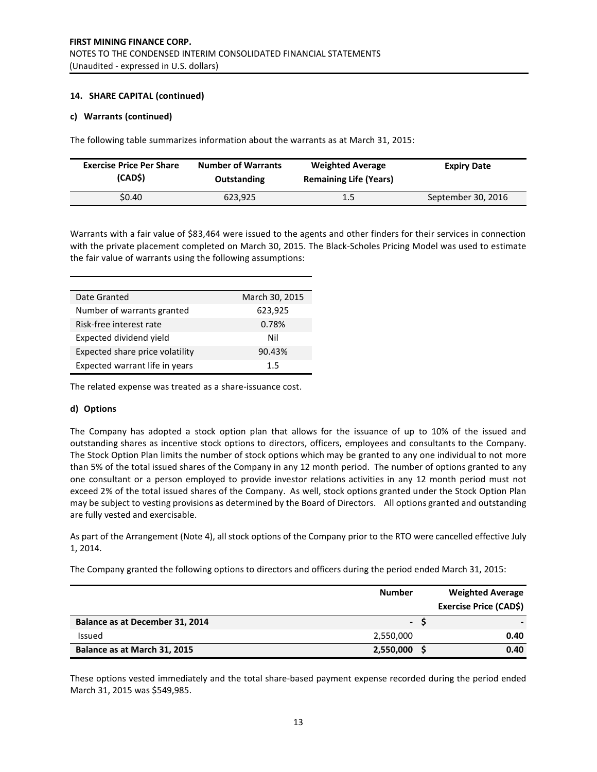## **14. SHARE CAPITAL (continued)**

## **c) Warrants (continued)**

The following table summarizes information about the warrants as at March 31, 2015:

| <b>Exercise Price Per Share</b> | <b>Number of Warrants</b> | <b>Weighted Average</b>       | <b>Expiry Date</b> |
|---------------------------------|---------------------------|-------------------------------|--------------------|
| (CAD\$)                         | Outstanding               | <b>Remaining Life (Years)</b> |                    |
| \$0.40                          | 623,925                   | 1.5                           | September 30, 2016 |

Warrants with a fair value of \$83,464 were issued to the agents and other finders for their services in connection with the private placement completed on March 30, 2015. The Black-Scholes Pricing Model was used to estimate the fair value of warrants using the following assumptions:

| Date Granted                    | March 30, 2015 |
|---------------------------------|----------------|
| Number of warrants granted      | 623,925        |
| Risk-free interest rate         | 0.78%          |
| Expected dividend yield         | Nil            |
| Expected share price volatility | 90.43%         |
| Expected warrant life in years  | 15             |

The related expense was treated as a share-issuance cost.

## **d) Options**

The Company has adopted a stock option plan that allows for the issuance of up to 10% of the issued and outstanding shares as incentive stock options to directors, officers, employees and consultants to the Company. The Stock Option Plan limits the number of stock options which may be granted to any one individual to not more than 5% of the total issued shares of the Company in any 12 month period. The number of options granted to any one consultant or a person employed to provide investor relations activities in any 12 month period must not exceed 2% of the total issued shares of the Company. As well, stock options granted under the Stock Option Plan may be subject to vesting provisions as determined by the Board of Directors. All options granted and outstanding are fully vested and exercisable.

As part of the Arrangement (Note 4), all stock options of the Company prior to the RTO were cancelled effective July 1, 2014.

The Company granted the following options to directors and officers during the period ended March 31, 2015:

|                                 | <b>Number</b> | <b>Weighted Average</b>       |
|---------------------------------|---------------|-------------------------------|
|                                 |               | <b>Exercise Price (CAD\$)</b> |
| Balance as at December 31, 2014 | - S           |                               |
| Issued                          | 2,550,000     | 0.40                          |
| Balance as at March 31, 2015    | 2,550,000     | 0.40                          |

These options vested immediately and the total share-based payment expense recorded during the period ended March 31, 2015 was \$549,985.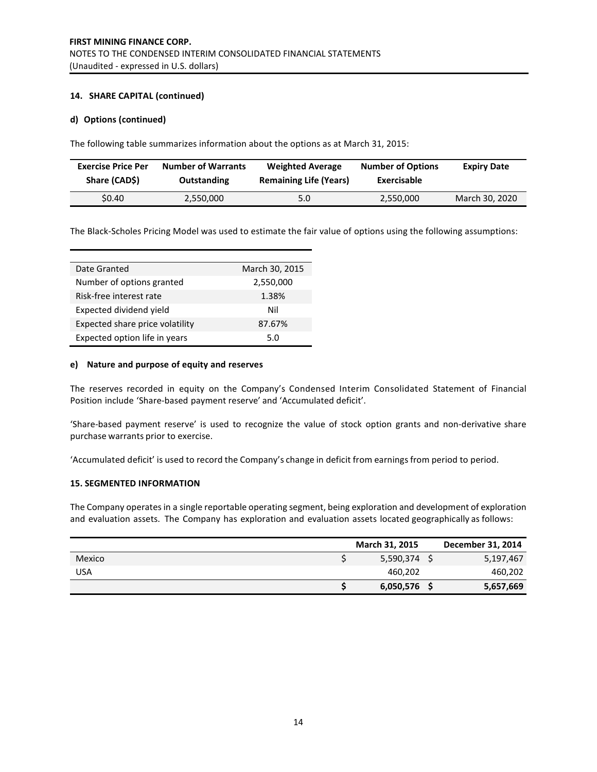## **14. SHARE CAPITAL (continued)**

## **d) Options (continued)**

The following table summarizes information about the options as at March 31, 2015:

| <b>Exercise Price Per</b> | <b>Number of Warrants</b> | <b>Weighted Average</b>       | <b>Number of Options</b> | <b>Expiry Date</b> |
|---------------------------|---------------------------|-------------------------------|--------------------------|--------------------|
| Share (CAD\$)             | Outstanding               | <b>Remaining Life (Years)</b> | Exercisable              |                    |
| \$0.40                    | 2,550,000                 | 5.0                           | 2,550,000                | March 30, 2020     |

The Black-Scholes Pricing Model was used to estimate the fair value of options using the following assumptions:

| Date Granted                    | March 30, 2015 |
|---------------------------------|----------------|
| Number of options granted       | 2,550,000      |
| Risk-free interest rate         | 1.38%          |
| Expected dividend yield         | Nil            |
| Expected share price volatility | 87.67%         |
| Expected option life in years   | 5 በ            |

#### **e) Nature and purpose of equity and reserves**

The reserves recorded in equity on the Company's Condensed Interim Consolidated Statement of Financial Position include 'Share-based payment reserve' and 'Accumulated deficit'.

'Share-based payment reserve' is used to recognize the value of stock option grants and non-derivative share purchase warrants prior to exercise.

'Accumulated deficit' is used to record the Company's change in deficit from earnings from period to period.

## **15. SEGMENTED INFORMATION**

The Company operatesin a single reportable operating segment, being exploration and development of exploration and evaluation assets. The Company has exploration and evaluation assets located geographically as follows:

|        | <b>March 31, 2015</b> | December 31, 2014 |
|--------|-----------------------|-------------------|
| Mexico | $5,590,374$ \$        | 5,197,467         |
| USA    | 460.202               | 460,202           |
|        | $6,050,576$ \$        | 5,657,669         |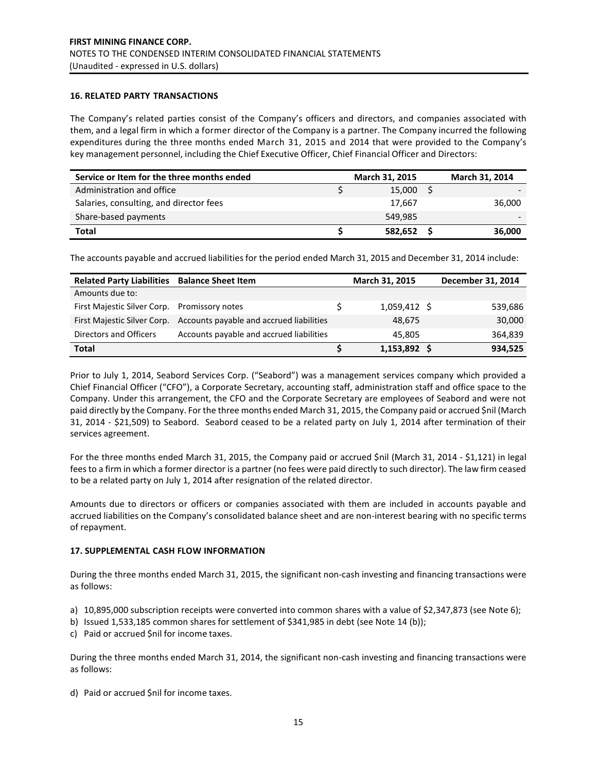## **16. RELATED PARTY TRANSACTIONS**

The Company's related parties consist of the Company's officers and directors, and companies associated with them, and a legal firm in which a former director of the Company is a partner. The Company incurred the following expenditures during the three months ended March 31, 2015 and 2014 that were provided to the Company's key management personnel, including the Chief Executive Officer, Chief Financial Officer and Directors:

| Service or Item for the three months ended | March 31, 2015 | March 31, 2014 |
|--------------------------------------------|----------------|----------------|
| Administration and office                  | 15.000         |                |
| Salaries, consulting, and director fees    | 17.667         | 36,000         |
| Share-based payments                       | 549.985        |                |
| <b>Total</b>                               | 582,652        | 36,000         |

The accounts payable and accrued liabilities for the period ended March 31, 2015 and December 31, 2014 include:

| <b>Related Party Liabilities</b> | <b>Balance Sheet Item</b>                | March 31, 2015 | December 31, 2014 |
|----------------------------------|------------------------------------------|----------------|-------------------|
| Amounts due to:                  |                                          |                |                   |
| First Majestic Silver Corp.      | Promissory notes                         | $1,059,412$ \$ | 539,686           |
| First Majestic Silver Corp.      | Accounts payable and accrued liabilities | 48.675         | 30,000            |
| Directors and Officers           | Accounts payable and accrued liabilities | 45.805         | 364,839           |
| <b>Total</b>                     |                                          | 1,153,892 \$   | 934,525           |

Prior to July 1, 2014, Seabord Services Corp. ("Seabord") was a management services company which provided a Chief Financial Officer ("CFO"), a Corporate Secretary, accounting staff, administration staff and office space to the Company. Under this arrangement, the CFO and the Corporate Secretary are employees of Seabord and were not paid directly by the Company. For the three months ended March 31, 2015, the Company paid or accrued \$nil (March 31, 2014 - \$21,509) to Seabord. Seabord ceased to be a related party on July 1, 2014 after termination of their services agreement.

For the three months ended March 31, 2015, the Company paid or accrued \$nil (March 31, 2014 - \$1,121) in legal fees to a firm in which a former director is a partner (no fees were paid directly to such director). The law firm ceased to be a related party on July 1, 2014 after resignation of the related director.

Amounts due to directors or officers or companies associated with them are included in accounts payable and accrued liabilities on the Company's consolidated balance sheet and are non-interest bearing with no specific terms of repayment.

#### **17. SUPPLEMENTAL CASH FLOW INFORMATION**

During the three months ended March 31, 2015, the significant non-cash investing and financing transactions were as follows:

- a) 10,895,000 subscription receipts were converted into common shares with a value of \$2,347,873 (see Note 6);
- b) Issued 1,533,185 common shares for settlement of \$341,985 in debt (see Note 14 (b));
- c) Paid or accrued \$nil for income taxes.

During the three months ended March 31, 2014, the significant non-cash investing and financing transactions were as follows:

d) Paid or accrued \$nil for income taxes.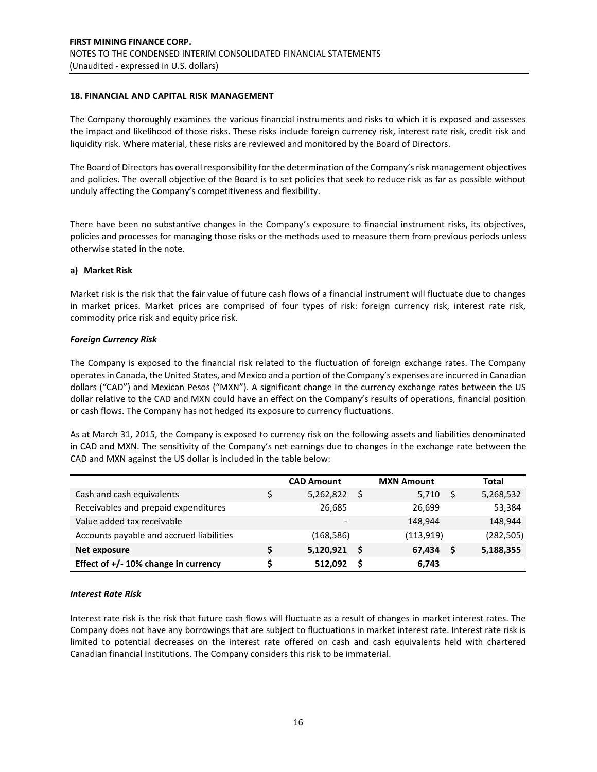## **18. FINANCIAL AND CAPITAL RISK MANAGEMENT**

The Company thoroughly examines the various financial instruments and risks to which it is exposed and assesses the impact and likelihood of those risks. These risks include foreign currency risk, interest rate risk, credit risk and liquidity risk. Where material, these risks are reviewed and monitored by the Board of Directors.

The Board of Directors has overall responsibility for the determination of the Company's risk management objectives and policies. The overall objective of the Board is to set policies that seek to reduce risk as far as possible without unduly affecting the Company's competitiveness and flexibility.

There have been no substantive changes in the Company's exposure to financial instrument risks, its objectives, policies and processes for managing those risks or the methods used to measure them from previous periods unless otherwise stated in the note.

#### **a) Market Risk**

Market risk is the risk that the fair value of future cash flows of a financial instrument will fluctuate due to changes in market prices. Market prices are comprised of four types of risk: foreign currency risk, interest rate risk, commodity price risk and equity price risk.

## *Foreign Currency Risk*

The Company is exposed to the financial risk related to the fluctuation of foreign exchange rates. The Company operates in Canada, the United States, and Mexico and a portion of the Company's expenses are incurred in Canadian dollars ("CAD") and Mexican Pesos ("MXN"). A significant change in the currency exchange rates between the US dollar relative to the CAD and MXN could have an effect on the Company's results of operations, financial position or cash flows. The Company has not hedged its exposure to currency fluctuations.

As at March 31, 2015, the Company is exposed to currency risk on the following assets and liabilities denominated in CAD and MXN. The sensitivity of the Company's net earnings due to changes in the exchange rate between the CAD and MXN against the US dollar is included in the table below:

|                                          | <b>CAD Amount</b> |   | <b>MXN Amount</b> | Total      |
|------------------------------------------|-------------------|---|-------------------|------------|
| Cash and cash equivalents                | 5,262,822         | Ś | 5,710             | 5,268,532  |
| Receivables and prepaid expenditures     | 26.685            |   | 26,699            | 53,384     |
| Value added tax receivable               |                   |   | 148,944           | 148,944    |
| Accounts payable and accrued liabilities | (168, 586)        |   | (113, 919)        | (282, 505) |
| Net exposure                             | 5,120,921         | Ŝ | 67.434            | 5,188,355  |
| Effect of +/- 10% change in currency     | 512.092           | S | 6,743             |            |

#### *Interest Rate Risk*

Interest rate risk is the risk that future cash flows will fluctuate as a result of changes in market interest rates. The Company does not have any borrowings that are subject to fluctuations in market interest rate. Interest rate risk is limited to potential decreases on the interest rate offered on cash and cash equivalents held with chartered Canadian financial institutions. The Company considers this risk to be immaterial.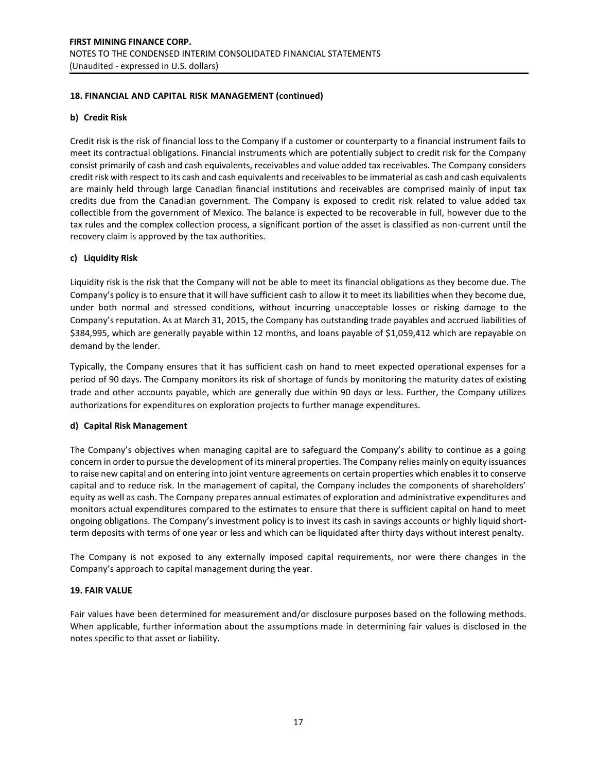## **18. FINANCIAL AND CAPITAL RISK MANAGEMENT (continued)**

## **b) Credit Risk**

Credit risk is the risk of financial loss to the Company if a customer or counterparty to a financial instrument fails to meet its contractual obligations. Financial instruments which are potentially subject to credit risk for the Company consist primarily of cash and cash equivalents, receivables and value added tax receivables. The Company considers credit risk with respect to its cash and cash equivalents and receivables to be immaterial as cash and cash equivalents are mainly held through large Canadian financial institutions and receivables are comprised mainly of input tax credits due from the Canadian government. The Company is exposed to credit risk related to value added tax collectible from the government of Mexico. The balance is expected to be recoverable in full, however due to the tax rules and the complex collection process, a significant portion of the asset is classified as non-current until the recovery claim is approved by the tax authorities.

## **c) Liquidity Risk**

Liquidity risk is the risk that the Company will not be able to meet its financial obligations as they become due. The Company's policy is to ensure that it will have sufficient cash to allow it to meet its liabilities when they become due, under both normal and stressed conditions, without incurring unacceptable losses or risking damage to the Company's reputation. As at March 31, 2015, the Company has outstanding trade payables and accrued liabilities of \$384,995, which are generally payable within 12 months, and loans payable of \$1,059,412 which are repayable on demand by the lender.

Typically, the Company ensures that it has sufficient cash on hand to meet expected operational expenses for a period of 90 days. The Company monitors its risk of shortage of funds by monitoring the maturity dates of existing trade and other accounts payable, which are generally due within 90 days or less. Further, the Company utilizes authorizations for expenditures on exploration projects to further manage expenditures.

## **d) Capital Risk Management**

The Company's objectives when managing capital are to safeguard the Company's ability to continue as a going concern in order to pursue the development of its mineral properties. The Company relies mainly on equity issuances to raise new capital and on entering into joint venture agreements on certain properties which enables it to conserve capital and to reduce risk. In the management of capital, the Company includes the components of shareholders' equity as well as cash. The Company prepares annual estimates of exploration and administrative expenditures and monitors actual expenditures compared to the estimates to ensure that there is sufficient capital on hand to meet ongoing obligations. The Company's investment policy is to invest its cash in savings accounts or highly liquid shortterm deposits with terms of one year or less and which can be liquidated after thirty days without interest penalty.

The Company is not exposed to any externally imposed capital requirements, nor were there changes in the Company's approach to capital management during the year.

## **19. FAIR VALUE**

Fair values have been determined for measurement and/or disclosure purposes based on the following methods. When applicable, further information about the assumptions made in determining fair values is disclosed in the notes specific to that asset or liability.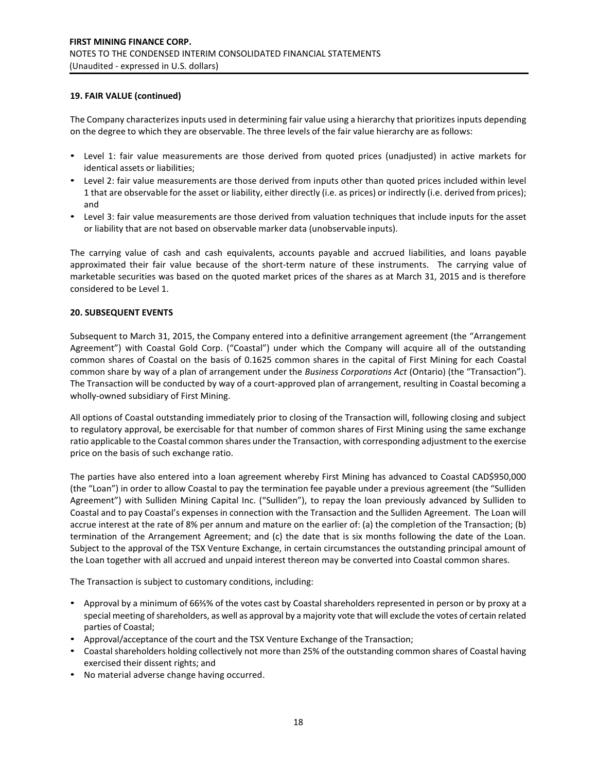## **19. FAIR VALUE (continued)**

The Company characterizes inputs used in determining fair value using a hierarchy that prioritizes inputs depending on the degree to which they are observable. The three levels of the fair value hierarchy are as follows:

- Level 1: fair value measurements are those derived from quoted prices (unadjusted) in active markets for identical assets or liabilities;
- Level 2: fair value measurements are those derived from inputs other than quoted prices included within level 1 that are observable for the asset or liability, either directly (i.e. as prices) or indirectly (i.e. derived from prices); and
- Level 3: fair value measurements are those derived from valuation techniques that include inputs for the asset or liability that are not based on observable marker data (unobservable inputs).

The carrying value of cash and cash equivalents, accounts payable and accrued liabilities, and loans payable approximated their fair value because of the short-term nature of these instruments. The carrying value of marketable securities was based on the quoted market prices of the shares as at March 31, 2015 and is therefore considered to be Level 1.

## **20. SUBSEQUENT EVENTS**

Subsequent to March 31, 2015, the Company entered into a definitive arrangement agreement (the "Arrangement Agreement") with Coastal Gold Corp. ("Coastal") under which the Company will acquire all of the outstanding common shares of Coastal on the basis of 0.1625 common shares in the capital of First Mining for each Coastal common share by way of a plan of arrangement under the *Business Corporations Act* (Ontario) (the "Transaction"). The Transaction will be conducted by way of a court-approved plan of arrangement, resulting in Coastal becoming a wholly-owned subsidiary of First Mining.

All options of Coastal outstanding immediately prior to closing of the Transaction will, following closing and subject to regulatory approval, be exercisable for that number of common shares of First Mining using the same exchange ratio applicable to the Coastal common shares under the Transaction, with corresponding adjustment to the exercise price on the basis of such exchange ratio.

The parties have also entered into a loan agreement whereby First Mining has advanced to Coastal CAD\$950,000 (the "Loan") in order to allow Coastal to pay the termination fee payable under a previous agreement (the "Sulliden Agreement") with Sulliden Mining Capital Inc. ("Sulliden"), to repay the loan previously advanced by Sulliden to Coastal and to pay Coastal's expenses in connection with the Transaction and the Sulliden Agreement. The Loan will accrue interest at the rate of 8% per annum and mature on the earlier of: (a) the completion of the Transaction; (b) termination of the Arrangement Agreement; and (c) the date that is six months following the date of the Loan. Subject to the approval of the TSX Venture Exchange, in certain circumstances the outstanding principal amount of the Loan together with all accrued and unpaid interest thereon may be converted into Coastal common shares.

The Transaction is subject to customary conditions, including:

- Approval by a minimum of 66⅔% of the votes cast by Coastal shareholders represented in person or by proxy at a special meeting of shareholders, as well as approval by a majority vote that will exclude the votes of certain related parties of Coastal;
- Approval/acceptance of the court and the TSX Venture Exchange of the Transaction;
- Coastal shareholders holding collectively not more than 25% of the outstanding common shares of Coastal having exercised their dissent rights; and
- No material adverse change having occurred.